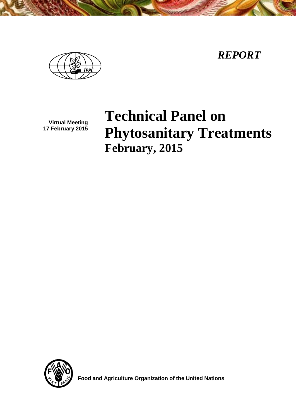*REPORT*



**Virtual Meeting 17 February 2015**

**Technical Panel on Phytosanitary Treatments February, 2015**



 **Food and Agriculture Organization of the United Nations**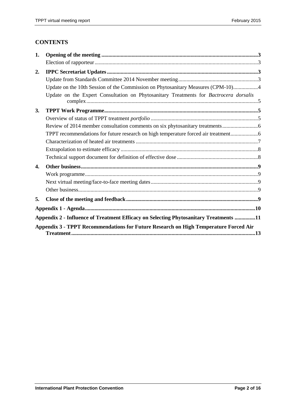# **CONTENTS**

| 1. |                                                                                       |  |
|----|---------------------------------------------------------------------------------------|--|
|    |                                                                                       |  |
| 2. |                                                                                       |  |
|    |                                                                                       |  |
|    | Update on the 10th Session of the Commission on Phytosanitary Measures (CPM-10)4      |  |
|    | Update on the Expert Consultation on Phytosanitary Treatments for Bactrocera dorsalis |  |
| 3. |                                                                                       |  |
|    |                                                                                       |  |
|    | Review of 2014 member consultation comments on six phytosanitary treatments           |  |
|    | TPPT recommendations for future research on high temperature forced air treatment     |  |
|    |                                                                                       |  |
|    |                                                                                       |  |
|    |                                                                                       |  |
| 4. |                                                                                       |  |
|    |                                                                                       |  |
|    |                                                                                       |  |
|    |                                                                                       |  |
| 5. |                                                                                       |  |
|    |                                                                                       |  |
|    | Appendix 2 - Influence of Treatment Efficacy on Selecting Phytosanitary Treatments 11 |  |
|    | Appendix 3 - TPPT Recommendations for Future Research on High Temperature Forced Air  |  |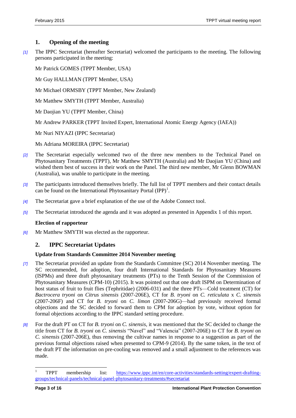# <span id="page-2-0"></span>**1. Opening of the meeting**

*[1]* The IPPC Secretariat (hereafter Secretariat) welcomed the participants to the meeting. The following persons participated in the meeting:

Mr Patrick GOMES (TPPT Member, USA)

Mr Guy HALLMAN (TPPT Member, USA)

Mr Michael ORMSBY (TPPT Member, New Zealand)

Mr Matthew SMYTH (TPPT Member, Australia)

Mr Daojian YU (TPPT Member, China)

Mr Andrew PARKER (TPPT Invited Expert, International Atomic Energy Agency (IAEA))

Mr Nuri NIYAZI (IPPC Secretariat)

Ms Adriana MOREIRA (IPPC Secretariat)

- *[2]* The Secretariat especially welcomed two of the three new members to the Technical Panel on Phytosanitary Treatments (TPPT), Mr Matthew SMYTH (Australia) and Mr Daojian YU (China) and wished them best of success in their work on the Panel. The third new member, Mr Glenn BOWMAN (Australia), was unable to participate in the meeting.
- *[3]* The participants introduced themselves briefly. The full list of TPPT members and their contact details can be found on the International Phytosanitary Portal  $(IPP)^1$ .
- *[4]* The Secretariat gave a brief explanation of the use of the Adobe Connect tool.
- *[5]* The Secretariat introduced the agenda and it was adopted as presented in Appendix 1 of this report.

### <span id="page-2-1"></span>**Election of rapporteur**

*[6]* Mr Matthew SMYTH was elected as the rapporteur.

# <span id="page-2-2"></span>**2. IPPC Secretariat Updates**

# <span id="page-2-3"></span>**Update from Standards Committee 2014 November meeting**

- *[7]* The Secretariat provided an update from the Standards Committee (SC) 2014 November meeting. The SC recommended, for adoption, four draft International Standards for Phytosanitary Measures (ISPMs) and three draft phytosanitary treatments (PTs) to the Tenth Session of the Commission of Phytosanitary Measures (CPM-10) (2015). It was pointed out that one draft ISPM on Determination of host status of fruit to fruit flies (Tephritidae) (2006-031) and the three PTs—Cold treatment (CT) for *Bactrocera tryoni* on *Citrus sinensis* (2007-206E), CT for *B. tryoni* on *C. reticulata* x *C. sinensis* (2007-206F) and CT for *B. tryoni* on *C. limon* (2007-206G)—had previously received formal objections and the SC decided to forward them to CPM for adoption by vote, without option for formal objections according to the IPPC standard setting procedure.
- *[8]* For the draft PT on CT for *B. tryoni* on *C. sinensis,* it was mentioned that the SC decided to change the title from CT for *B. tryoni* on *C. sinensis* "Navel" and "Valencia" (2007-206E) to CT for *B. tryoni* on *C. sinensis* (2007-206E), thus removing the cultivar names in response to a suggestion as part of the previous formal objections raised when presented to CPM-9 (2014). By the same token, in the text of the draft PT the information on pre-cooling was removed and a small adjustment to the references was made.

 $\overline{\phantom{a}}$ 

<sup>1</sup> TPPT membership list: [https://www.ippc.int/en/core-activities/standards-setting/expert-drafting](https://www.ippc.int/en/core-activities/standards-setting/expert-drafting-groups/technical-panels/technical-panel-phytosanitary-treatments/#secretariat)[groups/technical-panels/technical-panel-phytosanitary-treatments/#secretariat](https://www.ippc.int/en/core-activities/standards-setting/expert-drafting-groups/technical-panels/technical-panel-phytosanitary-treatments/#secretariat)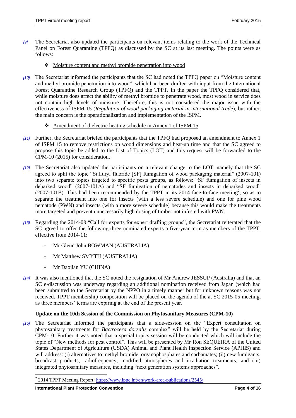- *[9]* The Secretariat also updated the participants on relevant items relating to the work of the Technical Panel on Forest Quarantine (TPFQ) as discussed by the SC at its last meeting. The points were as follows:
	- Moisture content and methyl bromide penetration into wood
- *[10]* The Secretariat informed the participants that the SC had noted the TPFQ paper on "Moisture content and methyl bromide penetration into wood", which had been drafted with input from the International Forest Quarantine Research Group (TPFQ) and the TPPT. In the paper the TPFQ considered that, while moisture does affect the ability of methyl bromide to penetrate wood, most wood in service does not contain high levels of moisture. Therefore, this is not considered the major issue with the effectiveness of ISPM 15 (*Regulation of wood packaging material in international trade*), but rather, the main concern is the operationalization and implementation of the ISPM.
	- Amendment of dielectric heating schedule in Annex 1 of ISPM 15
- *[11]* Further, the Secretariat briefed the participants that the TPFQ had proposed an amendment to Annex 1 of ISPM 15 to remove restrictions on wood dimensions and heat-up time and that the SC agreed to propose this topic be added to the List of Topics (LOT) and this request will be forwarded to the CPM-10 (2015) for consideration.
- *[12]* The Secretariat also updated the participants on a relevant change to the LOT, namely that the SC agreed to split the topic "Sulfuryl fluoride [SF] fumigation of wood packaging material" (2007-101) into two separate topics targeted to specific pests groups, as follows: "SF fumigation of insects in debarked wood" (2007-101A) and "SF fumigation of nematodes and insects in debarked wood"  $(2007-101B)$ . This had been recommended by the TPPT in its 2014 face-to-face meeting<sup>2</sup>, so as to separate the treatment into one for insects (with a less severe schedule) and one for pine wood nematode (PWN) and insects (with a more severe schedule) because this would make the treatments more targeted and prevent unnecessarily high dosing of timber not infested with PWN.
- *[13]* Regarding the 2014-08 "Call for experts for expert drafting groups", the Secretariat reiterated that the SC agreed to offer the following three nominated experts a five-year term as members of the TPPT, effective from 2014-11:
	- Mr Glenn John BOWMAN (AUSTRALIA)
	- Mr Matthew SMYTH (AUSTRALIA)
	- Mr Daojian YU (CHINA)
- *[14]* It was also mentioned that the SC noted the resignation of Mr Andrew JESSUP (Australia) and that an SC e-discussion was underway regarding an additional nomination received from Japan (which had been submitted to the Secretariat by the NPPO in a timely manner but for unknown reasons was not received. TPPT membership composition will be placed on the agenda of the at SC 2015-05 meeting, as three members' terms are expiring at the end of the present year.

# <span id="page-3-0"></span>**Update on the 10th Session of the Commission on Phytosanitary Measures (CPM-10)**

*[15]* The Secretariat informed the participants that a side-session on the "Expert consultation on phytosanitary treatments for *Bactrocera dorsalis* complex" will be held by the Secretariat during CPM-10. Further it was noted that a special topics session will be conducted which will include the topic of "New methods for pest control". This will be presented by Mr Ron SEQUEIRA of the United States Department of Agriculture (USDA) Animal and Plant Health Inspection Service (APHIS) and will address: (i) alternatives to methyl bromide, organophosphates and carbamates; (ii) new fumigants, broadcast products, radiofrequency, modified atmospheres and irradiation treatments; and (iii) integrated phytosanitary measures, including "next generation systems approaches".

 $\overline{a}$ 

<sup>&</sup>lt;sup>2</sup> 2014 TPPT Meeting Report:<https://www.ippc.int/en/work-area-publications/2545/>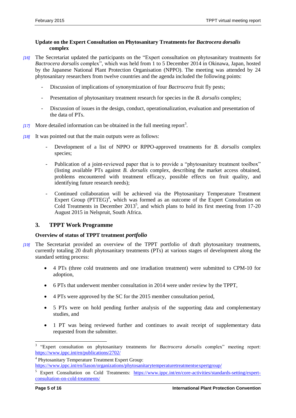## <span id="page-4-0"></span>**Update on the Expert Consultation on Phytosanitary Treatments for** *Bactrocera dorsalis* **complex**

- *[16]* The Secretariat updated the participants on the "Expert consultation on phytosanitary treatments for *Bactrocera dorsalis* complex", which was held from 1 to 5 December 2014 in Okinawa, Japan, hosted by the Japanese National Plant Protection Organisation (NPPO). The meeting was attended by 24 phytosanitary researchers from twelve countries and the agenda included the following points:
	- Discussion of implications of synonymization of four *Bactrocera* fruit fly pests;
	- Presentation of phytosanitary treatment research for species in the *B. dorsalis* complex;
	- Discussion of issues in the design, conduct, operationalization, evaluation and presentation of the data of PTs.
- [17] More detailed information can be obtained in the full meeting report<sup>3</sup>.
- *[18]* It was pointed out that the main outputs were as follows:
	- Development of a list of NPPO or RPPO-approved treatments for *B. dorsalis* complex species;
	- Publication of a joint-reviewed paper that is to provide a "phytosanitary treatment toolbox" (listing available PTs against *B. dorsalis* complex, describing the market access obtained, problems encountered with treatment efficacy, possible effects on fruit quality, and identifying future research needs);
	- Continued collaboration will be achieved via the Phytosanitary Temperature Treatment Expert Group  $(PTTEG)^4$ , which was formed as an outcome of the Expert Consultation on Cold Treatments in December  $2013^5$ , and which plans to hold its first meeting from 17-20 August 2015 in Nelspruit, South Africa.

# <span id="page-4-1"></span>**3. TPPT Work Programme**

### <span id="page-4-2"></span>**Overview of status of TPPT treatment** *portfolio*

- *[19]* The Secretariat provided an overview of the TPPT portfolio of draft phytosanitary treatments, currently totaling 20 draft phytosanitary treatments (PTs) at various stages of development along the standard setting process:
	- 4 PTs (three cold treatments and one irradiation treatment) were submitted to CPM-10 for adoption,
	- 6 PTs that underwent member consultation in 2014 were under review by the TPPT,
	- 4 PTs were approved by the SC for the 2015 member consultation period,
	- 5 PTs were on hold pending further analysis of the supporting data and complementary studies, and
	- 1 PT was being reviewed further and continues to await receipt of supplementary data requested from the submitter.

l

<sup>3</sup> "Expert consultation on phytosanitary treatments for *Bactrocera dorsalis* complex" meeting report: <https://www.ippc.int/en/publications/2702/>

<sup>&</sup>lt;sup>4</sup> Phytosanitary Temperature Treatment Expert Group:

<https://www.ippc.int/en/liason/organizations/phytosanitarytemperaturetreatmentsexpertgroup/>

<sup>5</sup> Expert Consultation on Cold Treatments: [https://www.ippc.int/en/core-activities/standards-setting/expert](https://www.ippc.int/en/core-activities/standards-setting/expert-consultation-on-cold-treatments/)[consultation-on-cold-treatments/](https://www.ippc.int/en/core-activities/standards-setting/expert-consultation-on-cold-treatments/)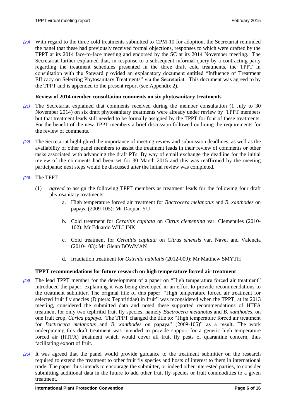*[20]* With regard to the three cold treatments submitted to CPM-10 for adoption, the Secretariat reminded the panel that these had previously received formal objections, responses to which were drafted by the TPPT at its 2014 face-to-face meeting and endorsed by the SC at its 2014 November meeting. The Secretariat further explained that, in response to a subsequent informal query by a contracting party regarding the treatment schedules presented in the three draft cold treatments, the TPPT in consultation with the Steward provided an explanatory document entitled "Influence of Treatment Efficacy on Selecting Phytosanitary Treatments" via the Secretariat. This document was agreed to by the TPPT and is appended to the present report (see Appendix 2).

## <span id="page-5-0"></span>**Review of 2014 member consultation comments on six phytosanitary treatments**

- *[21]* The Secretariat explained that comments received during the member consultation (1 July to 30 November 2014) on six draft phytosanitary treatments were already under review by TPPT members but that treatment leads still needed to be formally assigned by the TPPT for four of these treatments. For the benefit of the new TPPT members a brief discussion followed outlining the requirements for the review of comments.
- *[22]* The Secretariat highlighted the importance of meeting review and submission deadlines, as well as the availability of other panel members to assist the treatment leads in their review of comments or other tasks associated with advancing the draft PTs. By way of email exchange the deadline for the initial review of the comments had been set for 30 March 2015 and this was reaffirmed by the meeting participants; next steps would be discussed after the initial review was completed.
- *[23]* The TPPT:
	- (1) *agreed* to assign the following TPPT members as treatment leads for the following four draft phytosanitary treatments:
		- a. High temperature forced air treatment for *Bactrocera melanotus* and *B. xanthodes* on papaya (2009-105): Mr Daojian YU
		- b. Cold treatment for *Ceratitis capitata* on *Citrus clementina* var. Clemenules (2010- 102): Mr Eduardo WILLINK
		- c. Cold treatment for *Ceratitis capitata* on *Citrus sinensis* var. Navel and Valencia (2010-103): Mr Glenn BOWMAN
		- d. Irradiation treatment for *Ostrinia nubilalis* (2012-009): Mr Matthew SMYTH

### <span id="page-5-1"></span>**TPPT recommendations for future research on high temperature forced air treatment**

- *[24]* The lead TPPT member for the development of a paper on "High temperature forced air treatment" introduced the paper, explaining it was being developed in an effort to provide recommendations to the treatment submitter. The original title of this paper: "High temperature forced air treatment for selected fruit fly species (Diptera: Tephritidae) in fruit" was reconsidered when the TPPT, at its 2013 meeting, considered the submitted data and noted these supported recommendations of HTFA treatment for only two tephritid fruit fly species, namely *Bactrocera melanotus* and *B. xanthodes*, on one fruit crop, *Carica papaya*. The TPPT changed the title to: "High temperature forced air treatment for *Bactrocera melanotus* and *B. xanthodes* on papaya" (2009-105)" as a result. The work underpinning this draft treatment was intended to provide support for a generic high temperature forced air (HTFA) treatment which would cover all fruit fly pests of quarantine concern, thus facilitating export of fruit.
- *[25]* It was agreed that the panel would provide guidance to the treatment submitter on the research required to extend the treatment to other fruit fly species and hosts of interest to them in international trade. The paper thus intends to encourage the submitter, or indeed other interested parties, to consider submitting additional data in the future to add other fruit fly species or fruit commodities to a given treatment.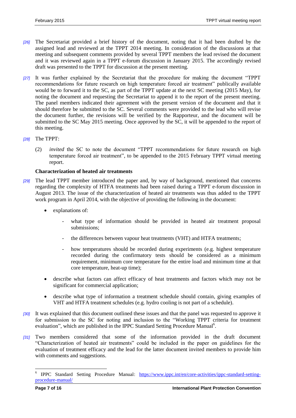- *[26]* The Secretariat provided a brief history of the document, noting that it had been drafted by the assigned lead and reviewed at the TPPT 2014 meeting. In consideration of the discussions at that meeting and subsequent comments provided by several TPPT members the lead revised the document and it was reviewed again in a TPPT e-forum discussion in January 2015. The accordingly revised draft was presented to the TPPT for discussion at the present meeting.
- *[27]* It was further explained by the Secretariat that the procedure for making the document "TPPT recommendations for future research on high temperature forced air treatment" publically available would be to forward it to the SC, as part of the TPPT update at the next SC meeting (2015 May), for noting the document and requesting the Secretariat to append it to the report of the present meeting. The panel members indicated their agreement with the present version of the document and that it should therefore be submitted to the SC. Several comments were provided to the lead who will revise the document further, the revisions will be verified by the Rapporteur, and the document will be submitted to the SC May 2015 meeting. Once approved by the SC, it will be appended to the report of this meeting.
- *[28]* The TPPT:
	- (2) *invited* the SC to note the document "TPPT recommendations for future research on high temperature forced air treatment", to be appended to the 2015 February TPPT virtual meeting report.

## <span id="page-6-0"></span>**Characterization of heated air treatments**

- *[29]* The lead TPPT member introduced the paper and, by way of background, mentioned that concerns regarding the complexity of HTFA treatments had been raised during a TPPT e-forum discussion in August 2013. The issue of the characterization of heated air treatments was thus added to the TPPT work program in April 2014, with the objective of providing the following in the document:
	- explanations of:
		- what type of information should be provided in heated air treatment proposal submissions;
		- *-* the differences between vapour heat treatments (VHT) and HTFA treatments;
		- *-* how temperatures should be recorded during experiments (e.g. highest temperature recorded during the confirmatory tests should be considered as a minimum requirement, minimum core temperature for the entire load and minimum time at that core temperature, heat-up time);
	- describe what factors can affect efficacy of heat treatments and factors which may not be significant for commercial application;
	- describe what type of information a treatment schedule should contain, giving examples of VHT and HTFA treatment schedules (e.g. hydro cooling is not part of a schedule).
- *[30]* It was explained that this document outlined these issues and that the panel was requested to approve it for submission to the SC for noting and inclusion to the "Working TPPT criteria for treatment evaluation", which are published in the IPPC Standard Setting Procedure Manual<sup>6</sup>.
- *[31]* Two members considered that some of the information provided in the draft document "Characterization of heated air treatments" could be included in the paper on guidelines for the evaluation of treatment efficacy and the lead for the latter document invited members to provide him with comments and suggestions.

 $\overline{\phantom{a}}$ 

<sup>&</sup>lt;sup>6</sup> IPPC Standard Setting Procedure Manual: [https://www.ippc.int/en/core-activities/ippc-standard-setting](https://www.ippc.int/en/core-activities/ippc-standard-setting-procedure-manual/)[procedure-manual/](https://www.ippc.int/en/core-activities/ippc-standard-setting-procedure-manual/)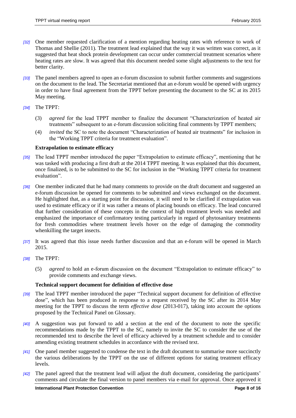- *[32]* One member requested clarification of a mention regarding heating rates with reference to work of Thomas and Shellie (2011). The treatment lead explained that the way it was written was correct, as it suggested that heat shock protein development can occur under commercial treatment scenarios where heating rates are slow. It was agreed that this document needed some slight adjustments to the text for better clarity.
- *[33]* The panel members agreed to open an e-forum discussion to submit further comments and suggestions on the document to the lead. The Secretariat mentioned that an e-forum would be opened with urgency in order to have final agreement from the TPPT before presenting the document to the SC at its 2015 May meeting.
- *[34]* The TPPT:
	- (3) *agreed* for the lead TPPT member to finalize the document "Characterization of heated air treatments" subsequent to an e-forum discussion soliciting final comments by TPPT members;
	- (4) *invited* the SC to note the document "Characterization of heated air treatments" for inclusion in the "Working TPPT criteria for treatment evaluation".

### <span id="page-7-0"></span>**Extrapolation to estimate efficacy**

- *[35]* The lead TPPT member introduced the paper "Extrapolation to estimate efficacy", mentioning that he was tasked with producing a first draft at the 2014 TPPT meeting. It was explained that this document, once finalized, is to be submitted to the SC for inclusion in the "Working TPPT criteria for treatment evaluation".
- *[36]* One member indicated that he had many comments to provide on the draft document and suggested an e-forum discussion be opened for comments to be submitted and views exchanged on the document. He highlighted that, as a starting point for discussion, it will need to be clarified if extrapolation was used to estimate efficacy or if it was rather a means of placing bounds on efficacy. The lead concurred that further consideration of these concepts in the context of high treatment levels was needed and emphasized the importance of confirmatory testing particularly in regard of phytosanitary treatments for fresh commodities where treatment levels hover on the edge of damaging the commodity whenkilling the target insects.
- *[37]* It was agreed that this issue needs further discussion and that an e-forum will be opened in March 2015.
- *[38]* The TPPT:
	- (5) *agreed* to hold an e-forum discussion on the document "Extrapolation to estimate efficacy" to provide comments and exchange views.

## <span id="page-7-1"></span>**Technical support document for definition of effective dose**

- *[39]* The lead TPPT member introduced the paper "Technical support document for definition of effective dose", which has been produced in response to a request received by the SC after its 2014 May meeting for the TPPT to discuss the term *effective dose* (2013-017), taking into account the options proposed by the Technical Panel on Glossary.
- *[40]* A suggestion was put forward to add a section at the end of the document to note the specific recommendations made by the TPPT to the SC, namely to invite the SC to consider the use of the recommended text to describe the level of efficacy achieved by a treatment schedule and to consider amending existing treatment schedules in accordance with the revised text.
- *[41]* One panel member suggested to condense the text in the draft document to summarise more succinctly the various deliberations by the TPPT on the use of different options for stating treatment efficacy levels.
- *[42]* The panel agreed that the treatment lead will adjust the draft document, considering the participants' comments and circulate the final version to panel members via e-mail for approval. Once approved it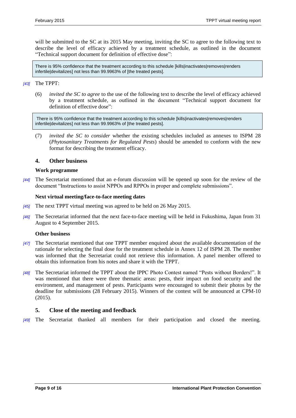will be submitted to the SC at its 2015 May meeting, inviting the SC to agree to the following text to describe the level of efficacy achieved by a treatment schedule, as outlined in the document "Technical support document for definition of effective dose":

There is 95% confidence that the treatment according to this schedule [kills|inactivates|removes|renders infertile|devitalizes] not less than 99.9963% of [the treated pests].

#### *[43]* The TPPT:

(6) *invited the SC to agree* to the use of the following text to describe the level of efficacy achieved by a treatment schedule, as outlined in the document "Technical support document for definition of effective dose":

There is 95% confidence that the treatment according to this schedule [kills|inactivates|removes|renders infertile|devitalizes] not less than 99.9963% of [the treated pests].

(7) *invited the SC to consider* whether the existing schedules included as annexes to ISPM 28 (*Phytosanitary Treatments for Regulated Pests*) should be amended to conform with the new format for describing the treatment efficacy.

### <span id="page-8-0"></span>**4. Other business**

#### <span id="page-8-1"></span>**Work programme**

*[44]* The Secretariat mentioned that an e-forum discussion will be opened up soon for the review of the document "Instructions to assist NPPOs and RPPOs in proper and complete submissions".

#### <span id="page-8-2"></span>**Next virtual meeting/face-to-face meeting dates**

- *[45]* The next TPPT virtual meeting was agreed to be held on 26 May 2015.
- *[46]* The Secretariat informed that the next face-to-face meeting will be held in Fukushima, Japan from 31 August to 4 September 2015.

#### <span id="page-8-3"></span>**Other business**

- *[47]* The Secretariat mentioned that one TPPT member enquired about the available documentation of the rationale for selecting the final dose for the treatment schedule in Annex 12 of ISPM 28. The member was informed that the Secretariat could not retrieve this information. A panel member offered to obtain this information from his notes and share it with the TPPT.
- *[48]* The Secretariat informed the TPPT about the IPPC Photo Contest named "Pests without Borders!". It was mentioned that there were three thematic areas: pests, their impact on food security and the environment, and management of pests. Participants were encouraged to submit their photos by the deadline for submissions (28 February 2015). Winners of the contest will be announced at CPM-10 (2015).

### <span id="page-8-4"></span>**5. Close of the meeting and feedback**

*[49]* The Secretariat thanked all members for their participation and closed the meeting.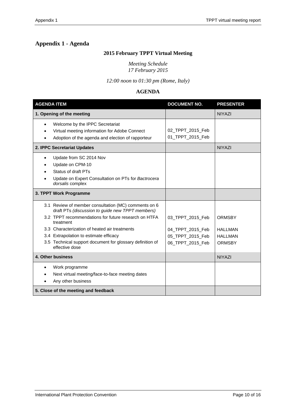# <span id="page-9-0"></span>**Appendix 1 - Agenda**

# **2015 February TPPT Virtual Meeting**

*Meeting Schedule 17 February 2015*

*12:00 noon to 01:30 pm (Rome, Italy)*

# **AGENDA**

| <b>AGENDA ITEM</b>                                                                                                                                 | <b>DOCUMENT NO.</b>                  | <b>PRESENTER</b> |
|----------------------------------------------------------------------------------------------------------------------------------------------------|--------------------------------------|------------------|
| 1. Opening of the meeting                                                                                                                          |                                      | <b>NIYAZI</b>    |
| Welcome by the IPPC Secretariat<br>$\bullet$<br>Virtual meeting information for Adobe Connect<br>Adoption of the agenda and election of rapporteur | 02_TPPT_2015_Feb<br>01_TPPT_2015_Feb |                  |
| 2. IPPC Secretariat Updates                                                                                                                        |                                      | <b>NIYAZI</b>    |
| Update from SC 2014 Nov<br>Update on CPM-10<br>Status of draft PTs<br>Update on Expert Consultation on PTs for Bactrocera<br>dorsalis complex      |                                      |                  |
| 3. TPPT Work Programme                                                                                                                             |                                      |                  |
| 3.1 Review of member consultation (MC) comments on 6<br>draft PTs (discussion to guide new TPPT members)                                           |                                      |                  |
| 3.2 TPPT recommendations for future research on HTFA<br>treatment                                                                                  | 03_TPPT_2015_Feb                     | <b>ORMSBY</b>    |
| 3.3 Characterization of heated air treatments                                                                                                      | 04_TPPT_2015_Feb                     | <b>HALLMAN</b>   |
| 3.4 Extrapolation to estimate efficacy                                                                                                             | 05_TPPT_2015_Feb                     | <b>HALLMAN</b>   |
| 3.5 Technical support document for glossary definition of<br>effective dose                                                                        | 06_TPPT_2015_Feb                     | ORMSBY           |
| 4. Other business                                                                                                                                  |                                      | <b>NIYAZI</b>    |
| Work programme<br>$\bullet$<br>Next virtual meeting/face-to-face meeting dates<br>Any other business                                               |                                      |                  |
| 5. Close of the meeting and feedback                                                                                                               |                                      |                  |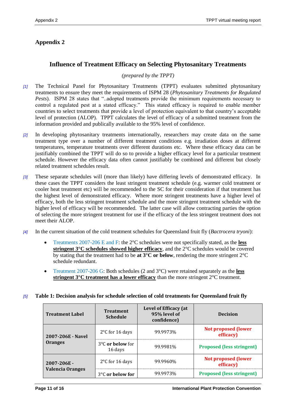# <span id="page-10-0"></span>**Appendix 2**

# **Influence of Treatment Efficacy on Selecting Phytosanitary Treatments**

## *(prepared by the TPPT)*

- *[1]* The Technical Panel for Phytosanitary Treatments (TPPT) evaluates submitted phytosanitary treatments to ensure they meet the requirements of ISPM 28 (*Phytosanitary Treatments for Regulated Pests*). ISPM 28 states that "..adopted treatments provide the minimum requirements necessary to control a regulated pest at a stated efficacy." This stated efficacy is required to enable member countries to select treatments that provide a level of protection equivalent to that country's acceptable level of protection (ALOP). TPPT calculates the level of efficacy of a submitted treatment from the information provided and publically available to the 95% level of confidence.
- *[2]* In developing phytosanitary treatments internationally, researchers may create data on the same treatment type over a number of different treatment conditions e.g. irradiation doses at different temperatures, temperature treatments over different durations etc. Where these efficacy data can be justifiably combined the TPPT will do so to provide a higher efficacy level for a particular treatment schedule. However the efficacy data often cannot justifiably be combined and different but closely related treatment schedules result.
- *[3]* These separate schedules will (more than likely) have differing levels of demonstrated efficacy. In these cases the TPPT considers the least stringent treatment schedule (e.g. warmer cold treatment or cooler heat treatment etc) will be recommended to the SC for their consideration if that treatment has the highest level of demonstrated efficacy. Where more stringent treatments have a higher level of efficacy, both the less stringent treatment schedule and the more stringent treatment schedule with the higher level of efficacy will be recommended. The latter case will allow contracting parties the option of selecting the more stringent treatment for use if the efficacy of the less stringent treatment does not meet their ALOP.
- *[4]* In the current situation of the cold treatment schedules for Queensland fruit fly (*Bactrocera tryoni*):
	- Treatments 2007-206 E and F: the 2°C schedules were not specifically stated, as the **less stringent 3°C schedules showed higher efficacy**, and the 2°C schedules would be covered by stating that the treatment had to be **at 3°C or below**, rendering the more stringent 2°C schedule redundant.
	- Treatment 2007-206 G: Both schedules (2 and 3°C) were retained separately as the **less stringent 3<sup>°</sup>C treatment has a lower efficacy** than the more stringent 2<sup>°</sup>C treatment.

### *[5]* **Table 1: Decision analysis for schedule selection of cold treatments for Queensland fruit fly**

| <b>Treatment Label</b>  | <b>Treatment</b><br><b>Schedule</b>   | Level of Efficacy (at<br>95% level of<br>confidence) | <b>Decision</b>                         |
|-------------------------|---------------------------------------|------------------------------------------------------|-----------------------------------------|
| 2007-206E - Navel       | $2^{\circ}$ C for 16 days             | 99.9973%                                             | <b>Not proposed (lower</b><br>efficacy) |
| <b>Oranges</b>          | $3^{\circ}$ C or below for<br>16 days | 99.9981%                                             | <b>Proposed (less stringent)</b>        |
| $2007 - 206E -$         | $2^{\circ}$ C for 16 days             | 99.9960%                                             | <b>Not proposed (lower</b><br>efficacy) |
| <b>Valencia Oranges</b> | $3^{\circ}$ C or below for            | 99.9973%                                             | <b>Proposed (less stringent)</b>        |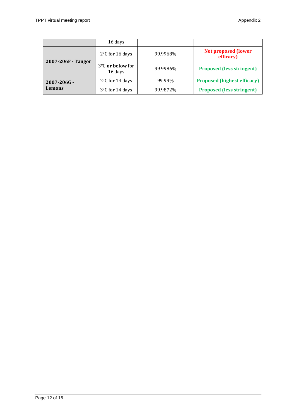|                    | 16 days                                           |          |                                         |
|--------------------|---------------------------------------------------|----------|-----------------------------------------|
|                    | $2^{\circ}$ C for 16 days                         | 99.9968% | <b>Not proposed (lower</b><br>efficacy) |
| 2007-206F - Tangor | $3^{\circ}$ C or below for<br>99.9986%<br>16 days |          | <b>Proposed (less stringent)</b>        |
| $2007 - 206G -$    | 2°C for 14 days                                   | 99.99%   | <b>Proposed (highest efficacy)</b>      |
| Lemons             | 3°C for 14 days                                   | 99.9872% | <b>Proposed (less stringent)</b>        |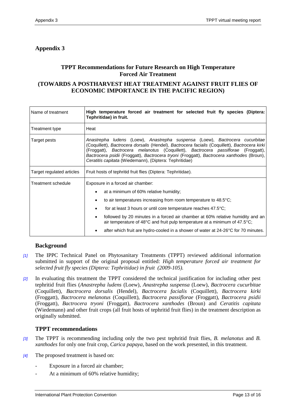# <span id="page-12-0"></span>**Appendix 3**

# **TPPT Recommendations for Future Research on High Temperature Forced Air Treatment**

# **(TOWARDS A POSTHARVEST HEAT TREATMENT AGAINST FRUIT FLIES OF ECONOMIC IMPORTANCE IN THE PACIFIC REGION)**

| High temperature forced air treatment for selected fruit fly species (Diptera:<br>Tephritidae) in fruit.                                                                                                                                                                                                                                                                                                                                                               |  |  |  |  |
|------------------------------------------------------------------------------------------------------------------------------------------------------------------------------------------------------------------------------------------------------------------------------------------------------------------------------------------------------------------------------------------------------------------------------------------------------------------------|--|--|--|--|
| Heat                                                                                                                                                                                                                                                                                                                                                                                                                                                                   |  |  |  |  |
| Anastrepha ludens (Loew), Anastrepha suspensa (Loew), Bactrocera cucurbitae<br>(Coquillett), Bactrocera dorsalis (Hendel), Bactrocera facialis (Coquillett), Bactrocera kirki<br>(Froggatt), Bactrocera melanotus (Coquillett), Bactrocera passiflorae (Froggatt),<br>Bactrocera psidii (Froggatt), Bactrocera tryoni (Froggatt), Bactrocera xanthodes (Broun),<br>Ceratitis capitata (Wiedemann), (Diptera: Tephritidae)                                              |  |  |  |  |
| Fruit hosts of tephritid fruit flies (Diptera: Tephritidae).                                                                                                                                                                                                                                                                                                                                                                                                           |  |  |  |  |
| Exposure in a forced air chamber:<br>at a minimum of 60% relative humidity;<br>to air temperatures increasing from room temperature to 48.5°C;<br>for at least 3 hours or until core temperature reaches 47.5°C;<br>followed by 20 minutes in a forced air chamber at 60% relative humidity and an<br>air temperature of 48°C and fruit pulp temperature at a minimum of 47.5°C;<br>after which fruit are hydro-cooled in a shower of water at 24-26°C for 70 minutes. |  |  |  |  |
|                                                                                                                                                                                                                                                                                                                                                                                                                                                                        |  |  |  |  |

# **Background**

- *[1]* The IPPC Technical Panel on Phytosanitary Treatments (TPPT) reviewed additional information submitted in support of the original proposal entitled: *High temperature forced air treatment for selected fruit fly species (Diptera: Tephritidae) in fruit (2009-105).*
- *[2]* In evaluating this treatment the TPPT considered the technical justification for including other pest tephritid fruit flies (*Anastrepha ludens* (Loew), *Anastrepha suspensa* (Loew), *Bactrocera cucurbitae* (Coquillett), *Bactrocera dorsalis* (Hendel), *Bactrocera facialis* (Coquillett), *Bactrocera kirki* (Froggatt), *Bactrocera melanotus* (Coquillett), *Bactrocera passiflorae* (Froggatt), *Bactrocera psidii* (Froggatt), *Bactrocera tryoni* (Froggatt), *Bactrocera xanthodes* (Broun) and *Ceratitis capitata* (Wiedemann) and other fruit crops (all fruit hosts of tephritid fruit flies) in the treatment description as originally submitted.

# **TPPT recommendations**

- *[3]* The TPPT is recommending including only the two pest tephritid fruit flies, *B. melanotus* and *B. xanthodes* for only one fruit crop, *Carica papaya*, based on the work presented, in this treatment.
- *[4]* The proposed treatment is based on:
	- Exposure in a forced air chamber;
	- At a minimum of 60% relative humidity;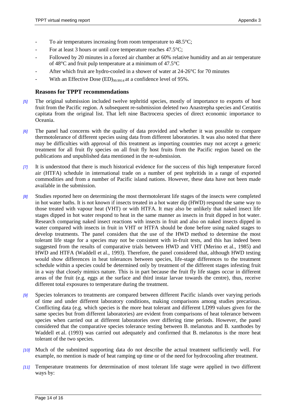- To air temperatures increasing from room temperature to  $48.5^{\circ}$ C;
- For at least 3 hours or until core temperature reaches  $47.5^{\circ}$ C;
- Followed by 20 minutes in a forced air chamber at 60% relative humidity and an air temperature of 48°C and fruit pulp temperature at a minimum of 47.5°C
- After which fruit are hydro-cooled in a shower of water at  $24{\text -}26^{\circ}\text{C}$  for 70 minutes
- With an Effective Dose  $(ED)_{99,9914}$  at a confidence level of 95%.

## **Reasons for TPPT recommendations**

- *[5]* The original submission included twelve tephritid species, mostly of importance to exports of host fruit from the Pacific region. A subsequent re-submission deleted two Anastrepha species and Ceratitis capitata from the original list. That left nine Bactrocera species of direct economic importance to Oceania.
- *[6]* The panel had concerns with the quality of data provided and whether it was possible to compare thermotolerance of different species using data from different laboratories. It was also noted that there may be difficulties with approval of this treatment as importing countries may not accept a generic treatment for all fruit fly species on all fruit fly host fruits from the Pacific region based on the publications and unpublished data mentioned in the re-submission.
- *[7]* It is understood that there is much historical evidence for the success of this high temperature forced air (HTFA) schedule in international trade on a number of pest tephritids in a range of exported commodities and from a number of Pacific island nations. However, these data have not been made available in the submission.
- *[8]* Studies reported here on determining the most thermotolerant life stages of the insects were completed in hot water baths. It is not known if insects treated in a hot water dip (HWD) respond the same way to those treated with vapour heat (VHT) or with HTFA. It may also be unlikely that naked insect life stages dipped in hot water respond to heat in the same manner as insects in fruit dipped in hot water. Research comparing naked insect reactions with insects in fruit and also on naked insects dipped in water compared with insects in fruit in VHT or HTFA should be done before using naked stages to develop treatments. The panel considers that the use of the HWD method to determine the most tolerant life stage for a species may not be consistent with in-fruit tests, and this has indeed been suggested from the results of comparative trials between HWD and VHT (Merino et al., 1985) and HWD and HTFA (Waddell et al., 1993). Therefore, the panel considered that, although HWD testing would show differences in heat tolerances between species, life-stage differences to the treatment schedule within a species could be determined only by treatment of the different stages infesting fruit in a way that closely mimics nature. This is in part because the fruit fly life stages occur in different areas of the fruit (e.g. eggs at the surface and third instar larvae towards the centre), thus, receive different total exposures to temperature during the treatment.
- *[9]* Species tolerances to treatments are compared between different Pacific islands over varying periods of time and under different laboratory conditions, making comparisons among studies precarious. Conflicting data (e.g. which species is the more heat tolerant and different LD99 values given for the same species but from different laboratories) are evident from comparisons of heat tolerance between species when carried out at different laboratories over differing time periods. However, the panel considered that the comparative species tolerance testing between B. melanotus and B. xanthodes by Waddell et al. (1993) was carried out adequately and confirmed that B. melanotus is the more heat tolerant of the two species.
- *[10]* Much of the submitted supporting data do not describe the actual treatment sufficiently well. For example, no mention is made of heat ramping up time or of the need for hydrocooling after treatment.
- *[11]* Temperature treatments for determination of most tolerant life stage were applied in two different ways by: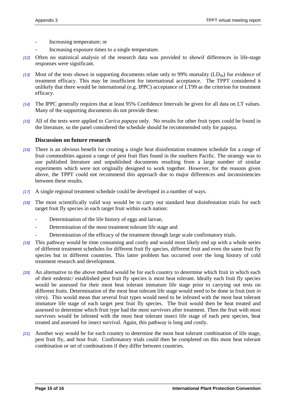- Increasing temperature; or
- Increasing exposure times to a single temperature.
- *[12]* Often no statistical analysis of the research data was provided to showif differences in life-stage responses were significant.
- *[13]* Most of the tests shown in supporting documents relate only to 99% mortality (LD<sub>99</sub>) for evidence of treatment efficacy. This may be insufficient for international acceptance. The TPPT considered it unlikely that there would be international (e.g. IPPC) acceptance of LT99 as the criterion for treatment efficacy.
- *[14]* The IPPC generally requires that at least 95% Confidence Intervals be given for all data on LT values. Many of the supporting documents do not provide these.
- *[15]* All of the tests were applied to *Carica papaya* only. No results for other fruit types could be found in the literature, so the panel considered the schedule should be recommended only for papaya.

## **Discussion on future research**

- *[16]* There is an obvious benefit for creating a single heat disinfestation treatment schedule for a range of fruit commodities against a range of pest fruit flies found in the southern Pacific. The strategy was to use published literature and unpublished documents resulting from a large number of similar experiments which were not originally designed to work together. However, for the reasons given above, the TPPT could not recommend this approach due to major differences and inconsistencies between these results.
- *[17]* A single regional treatment schedule could be developed in a number of ways.
- *[18]* The most scientifically valid way would be to carry out standard heat disinfestation trials for each target fruit fly species in each target fruit within each nation:
	- Determination of the life history of eggs and larvae,
	- Determination of the most treatment tolerant life stage and
		- Determination of the efficacy of the treatment through large scale confirmatory trials.
- *[19]* This pathway would be time consuming and costly and would most likely end up with a whole series of different treatment schedules for different fruit fly species, different fruit and even the same fruit fly species but in different countries. This latter problem has occurred over the long history of cold treatment research and development.
- *[20]* An alternative to the above method would be for each country to determine which fruit in which each of their endemic/ established pest fruit fly species is most heat tolerant. Ideally each fruit fly species would be assessed for their most heat tolerant immature life stage prior to carrying out tests on different fruits. Determination of the most heat tolerant life stage would need to be done in fruit (not *in vitro*). This would mean that several fruit types would need to be infested with the most heat tolerant immature life stage of each target pest fruit fly species. The fruit would then be heat treated and assessed to determine which fruit type had the most survivors after treatment. Then the fruit with most survivors would be infested with the most heat tolerant insect life stage of each pest species, heat treated and assessed for insect survival. Again, this pathway is long and costly.
- *[21]* Another way would be for each country to determine the most heat tolerant combination of life stage, pest fruit fly, and host fruit. Confirmatory trials could then be completed on this most heat tolerant combination or set of combinations if they differ between countries.